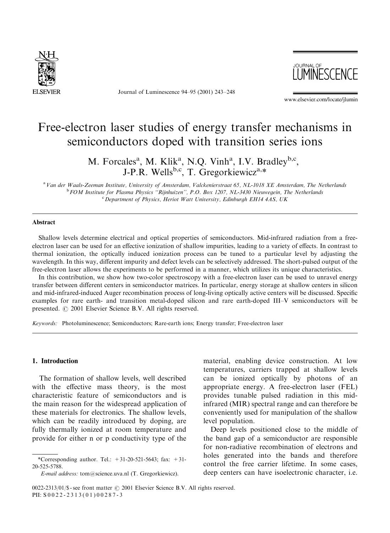

Journal of Luminescence 94–95 (2001) 243–248



www.elsevier.com/locate/jlumin

# Free-electron laser studies of energy transfer mechanisms in semiconductors doped with transition series ions

M. Forcales<sup>a</sup>, M. Klik<sup>a</sup>, N.Q. Vinh<sup>a</sup>, I.V. Bradley<sup>b,c</sup>, J-P.R. Wells<sup>b,c</sup>, T. Gregorkiewicz<sup>a,\*</sup>

a Van der Waals-Zeeman Institute, University of Amsterdam, Valckenierstraat 65, NL-1018 XE Amsterdam, The Netherlands <sup>b</sup> FOM Institute for Plasma Physics "Rijnhuizen", P.O. Box 1207, NL-3430 Nieuwegein, The Netherlands <sup>c</sup> Department of Physics, Heriot Watt University, Edinburgh EH14 4AS, UK

#### Abstract

Shallow levels determine electrical and optical properties of semiconductors. Mid-infrared radiation from a freeelectron laser can be used for an effective ionization of shallow impurities, leading to a variety of effects. In contrast to thermal ionization, the optically induced ionization process can be tuned to a particular level by adjusting the wavelength. In this way, different impurity and defect levels can be selectively addressed. The short-pulsed output of the free-electron laser allows the experiments to be performed in a manner, which utilizes its unique characteristics.

In this contribution, we show how two-color spectroscopy with a free-electron laser can be used to unravel energy transfer between different centers in semiconductor matrices. In particular, energy storage at shallow centers in silicon and mid-infrared-induced Auger recombination process of long-living optically active centers will be discussed. Specific examples for rare earth- and transition metal-doped silicon and rare earth-doped III–V semiconductors will be presented.  $\odot$  2001 Elsevier Science B.V. All rights reserved.

Keywords: Photoluminescence; Semiconductors; Rare-earth ions; Energy transfer; Free-electron laser

#### 1. Introduction

The formation of shallow levels, well described with the effective mass theory, is the most characteristic feature of semiconductors and is the main reason for the widespread application of these materials for electronics. The shallow levels, which can be readily introduced by doping, are fully thermally ionized at room temperature and provide for either n or p conductivity type of the material, enabling device construction. At low temperatures, carriers trapped at shallow levels can be ionized optically by photons of an appropriate energy. A free-electron laser (FEL) provides tunable pulsed radiation in this midinfrared (MIR) spectral range and can therefore be conveniently used for manipulation of the shallow level population.

Deep levels positioned close to the middle of the band gap of a semiconductor are responsible for non-radiative recombination of electrons and holes generated into the bands and therefore control the free carrier lifetime. In some cases, deep centers can have isoelectronic character, i.e.

<sup>\*</sup>Corresponding author. Tel.:  $+31-20-521-5643$ ; fax:  $+31-$ 20-525-5788.

E-mail address: tom@science.uva.nl (T. Gregorkiewicz).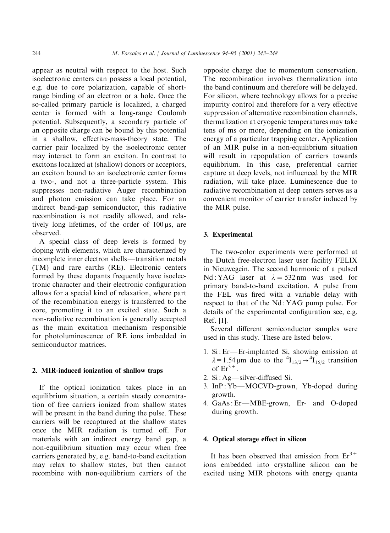appear as neutral with respect to the host. Such isoelectronic centers can possess a local potential, e.g. due to core polarization, capable of shortrange binding of an electron or a hole. Once the so-called primary particle is localized, a charged center is formed with a long-range Coulomb potential. Subsequently, a secondary particle of an opposite charge can be bound by this potential in a shallow, effective-mass-theory state. The carrier pair localized by the isoelectronic center may interact to form an exciton. In contrast to excitons localized at (shallow) donors or acceptors, an exciton bound to an isoelectronic center forms a two-, and not a three-particle system. This suppresses non-radiative Auger recombination and photon emission can take place. For an indirect band-gap semiconductor, this radiative recombination is not readily allowed, and relatively long lifetimes, of the order of  $100 \mu s$ , are observed.

A special class of deep levels is formed by doping with elements, which are characterized by incomplete inner electron shells—transition metals (TM) and rare earths (RE). Electronic centers formed by these dopants frequently have isoelectronic character and their electronic configuration allows for a special kind of relaxation, where part of the recombination energy is transferred to the core, promoting it to an excited state. Such a non-radiative recombination is generally accepted as the main excitation mechanism responsible for photoluminescence of RE ions imbedded in semiconductor matrices.

#### 2. MIR-induced ionization of shallow traps

If the optical ionization takes place in an equilibrium situation, a certain steady concentration of free carriers ionized from shallow states will be present in the band during the pulse. These carriers will be recaptured at the shallow states once the MIR radiation is turned off. For materials with an indirect energy band gap, a non-equilibrium situation may occur when free carriers generated by, e.g. band-to-band excitation may relax to shallow states, but then cannot recombine with non-equilibrium carriers of the

opposite charge due to momentum conservation. The recombination involves thermalization into the band continuum and therefore will be delayed. For silicon, where technology allows for a precise impurity control and therefore for a very effective suppression of alternative recombination channels, thermalization at cryogenic temperatures may take tens of ms or more, depending on the ionization energy of a particular trapping center. Application of an MIR pulse in a non-equilibrium situation will result in repopulation of carriers towards equilibrium. In this case, preferential carrier capture at deep levels, not influenced by the MIR radiation, will take place. Luminescence due to radiative recombination at deep centers serves as a convenient monitor of carrier transfer induced by the MIR pulse.

#### 3. Experimental

The two-color experiments were performed at the Dutch free-electron laser user facility FELIX in Nieuwegein. The second harmonic of a pulsed Nd : YAG laser at  $\lambda = 532$  nm was used for primary band-to-band excitation. A pulse from the FEL was fired with a variable delay with respect to that of the Nd : YAG pump pulse. For details of the experimental configuration see, e.g. Ref. [1].

Several different semiconductor samples were used in this study. These are listed below.

- 1. Si: Er-Er-implanted Si, showing emission at  $\lambda = 1.54 \,\mu\text{m}$  due to the  ${}^{4}I_{13/2} \rightarrow {}^{4}I_{15/2}$  transition of  $Er^{3+}$ .
- 2.  $Si: Ag$  -silver-diffused Si.
- 3.  $InP:Yb-MOCVD-group$ , Yb-doped during growth.
- 4. GaAs: Er-MBE-grown, Er- and O-doped during growth.

## 4. Optical storage effect in silicon

It has been observed that emission from  $Er^{3+}$ ions embedded into crystalline silicon can be excited using MIR photons with energy quanta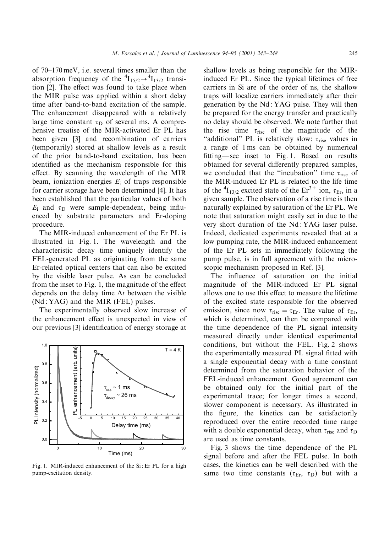of 70–170 meV, i.e. several times smaller than the absorption frequency of the  ${}^{4}I_{15/2} \rightarrow {}^{4}I_{13/2}$  transition [2]. The effect was found to take place when the MIR pulse was applied within a short delay time after band-to-band excitation of the sample. The enhancement disappeared with a relatively large time constant  $\tau_D$  of several ms. A comprehensive treatise of the MIR-activated Er PL has been given [3] and recombination of carriers (temporarily) stored at shallow levels as a result of the prior band-to-band excitation, has been identified as the mechanism responsible for this effect. By scanning the wavelength of the MIR beam, ionization energies  $E_i$  of traps responsible for carrier storage have been determined [4]. It has been established that the particular values of both  $E_i$  and  $\tau_D$  were sample-dependent, being influenced by substrate parameters and Er-doping procedure.

The MIR-induced enhancement of the Er PL is illustrated in Fig. 1. The wavelength and the characteristic decay time uniquely identify the FEL-generated PL as originating from the same Er-related optical centers that can also be excited by the visible laser pulse. As can be concluded from the inset to Fig. 1, the magnitude of the effect depends on the delay time  $\Delta t$  between the visible (Nd : YAG) and the MIR (FEL) pulses.

The experimentally observed slow increase of the enhancement effect is unexpected in view of our previous [3] identification of energy storage at



Fig. 1. MIR-induced enhancement of the Si : Er PL for a high pump-excitation density.

shallow levels as being responsible for the MIRinduced Er PL. Since the typical lifetimes of free carriers in Si are of the order of ns, the shallow traps will localize carriers immediately after their generation by the Nd : YAG pulse. They will then be prepared for the energy transfer and practically no delay should be observed. We note further that the rise time  $\tau_{\text{rise}}$  of the magnitude of the "additional" PL is relatively slow:  $\tau_{\text{rise}}$  values in a range of 1 ms can be obtained by numerical fitting—see inset to Fig. 1. Based on results obtained for several differently prepared samples, we concluded that the "incubation" time  $\tau_{\text{rise}}$  of the MIR-induced Er PL is related to the life time of the  ${}^{4}I_{13/2}$  excited state of the  $Er^{3+}$  ion,  $\tau_{Er}$ , in a given sample. The observation of a rise time is then naturally explained by saturation of the Er PL. We note that saturation might easily set in due to the very short duration of the Nd : YAG laser pulse. Indeed, dedicated experiments revealed that at a low pumping rate, the MIR-induced enhancement of the Er PL sets in immediately following the pump pulse, is in full agreement with the microscopic mechanism proposed in Ref. [3].

The influence of saturation on the initial magnitude of the MIR-induced Er PL signal allows one to use this effect to measure the lifetime of the excited state responsible for the observed emission, since now  $\tau_{\text{rise}} = \tau_{\text{Er}}$ . The value of  $\tau_{\text{Er}}$ , which is determined, can then be compared with the time dependence of the PL signal intensity measured directly under identical experimental conditions, but without the FEL. Fig. 2 shows the experimentally measured PL signal fitted with a single exponential decay with a time constant determined from the saturation behavior of the FEL-induced enhancement. Good agreement can be obtained only for the initial part of the experimental trace; for longer times a second, slower component is necessary. As illustrated in the figure, the kinetics can be satisfactorily reproduced over the entire recorded time range with a double exponential decay, when  $\tau_{\text{rise}}$  and  $\tau_{\text{D}}$ are used as time constants.

Fig. 3 shows the time dependence of the PL signal before and after the FEL pulse. In both cases, the kinetics can be well described with the same two time constants ( $\tau_{\text{Er}}$ ,  $\tau_{\text{D}}$ ) but with a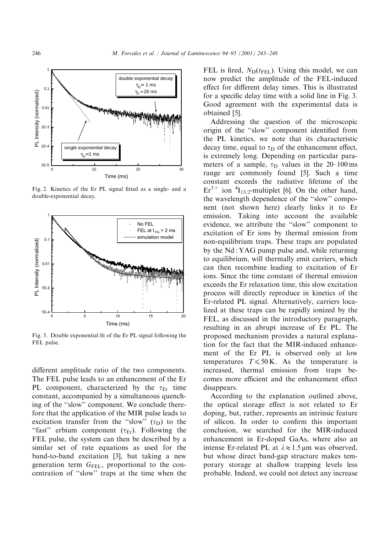

Fig. 2. Kinetics of the Er PL signal fitted as a single- and a double-exponential decay.



Fig. 3. Double exponential fit of the Er PL signal following the FEL pulse.

different amplitude ratio of the two components. The FEL pulse leads to an enhancement of the Er PL component, characterized by the  $\tau_{Er}$  time constant, accompanied by a simultaneous quenching of the ''slow'' component. We conclude therefore that the application of the MIR pulse leads to excitation transfer from the "slow"  $(\tau_D)$  to the "fast" erbium component  $(\tau_{Er})$ . Following the FEL pulse, the system can then be described by a similar set of rate equations as used for the band-to-band excitation [3], but taking a new generation term  $G_{\text{FEL}}$ , proportional to the concentration of ''slow'' traps at the time when the

FEL is fired,  $N_{\text{D}}(t_{\text{FEL}})$ . Using this model, we can now predict the amplitude of the FEL-induced effect for different delay times. This is illustrated for a specific delay time with a solid line in Fig. 3. Good agreement with the experimental data is obtained [5].

Addressing the question of the microscopic origin of the ''slow'' component identified from the PL kinetics, we note that its characteristic decay time, equal to  $\tau_D$  of the enhancement effect, is extremely long. Depending on particular parameters of a sample,  $\tau_D$  values in the 20–100 ms range are commonly found [5]. Such a time constant exceeds the radiative lifetime of the  $Er<sup>3+</sup>$  ion <sup>4</sup>I<sub>13/2</sub>-multiplet [6]. On the other hand, the wavelength dependence of the ''slow'' component (not shown here) clearly links it to Er emission. Taking into account the available evidence, we attribute the ''slow'' component to excitation of Er ions by thermal emission from non-equilibrium traps. These traps are populated by the Nd : YAG pump pulse and, while returning to equilibrium, will thermally emit carriers, which can then recombine leading to excitation of Er ions. Since the time constant of thermal emission exceeds the Er relaxation time, this slow excitation process will directly reproduce in kinetics of the Er-related PL signal. Alternatively, carriers localized at these traps can be rapidly ionized by the FEL, as discussed in the introductory paragraph, resulting in an abrupt increase of Er PL. The proposed mechanism provides a natural explanation for the fact that the MIR-induced enhancement of the Er PL is observed only at low temperatures  $T \le 50$  K. As the temperature is increased, thermal emission from traps becomes more efficient and the enhancement effect disappears.

According to the explanation outlined above, the optical storage effect is not related to Er doping, but, rather, represents an intrinsic feature of silicon. In order to confirm this important conclusion, we searched for the MIR-induced enhancement in Er-doped GaAs, where also an intense Er-related PL at  $\lambda \approx 1.5 \,\mu\text{m}$  was observed, but whose direct band-gap structure makes temporary storage at shallow trapping levels less probable. Indeed, we could not detect any increase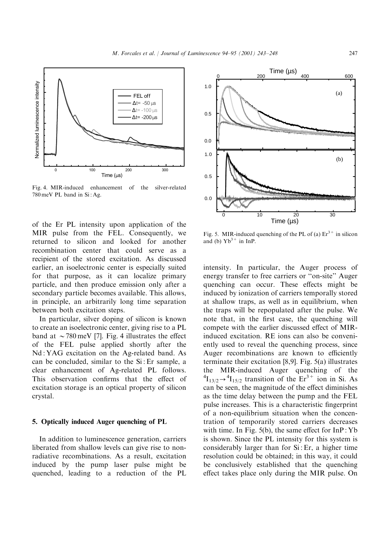

Fig. 4. MIR-induced enhancement of the silver-related 780 meV PL band in Si : Ag.

of the Er PL intensity upon application of the MIR pulse from the FEL. Consequently, we returned to silicon and looked for another recombination center that could serve as a recipient of the stored excitation. As discussed earlier, an isoelectronic center is especially suited for that purpose, as it can localize primary particle, and then produce emission only after a secondary particle becomes available. This allows, in principle, an arbitrarily long time separation between both excitation steps.

In particular, silver doping of silicon is known to create an isoelectronic center, giving rise to a PL band at  $\sim$  780 meV [7]. Fig. 4 illustrates the effect of the FEL pulse applied shortly after the Nd : YAG excitation on the Ag-related band. As can be concluded, similar to the Si : Er sample, a clear enhancement of Ag-related PL follows. This observation confirms that the effect of excitation storage is an optical property of silicon crystal.

### 5. Optically induced Auger quenching of PL

In addition to luminescence generation, carriers liberated from shallow levels can give rise to nonradiative recombinations. As a result, excitation induced by the pump laser pulse might be quenched, leading to a reduction of the PL



Fig. 5. MIR-induced quenching of the PL of (a)  $Er<sup>3+</sup>$  in silicon and (b)  $Yb^{3+}$  in InP.

intensity. In particular, the Auger process of energy transfer to free carriers or ''on-site'' Auger quenching can occur. These effects might be induced by ionization of carriers temporally stored at shallow traps, as well as in equilibrium, when the traps will be repopulated after the pulse. We note that, in the first case, the quenching will compete with the earlier discussed effect of MIRinduced excitation. RE ions can also be conveniently used to reveal the quenching process, since Auger recombinations are known to efficiently terminate their excitation [8,9]. Fig. 5(a) illustrates the MIR-induced Auger quenching of the  ${}^{4}I_{13/2} \rightarrow {}^{4}I_{15/2}$  transition of the  $Er^{3+}$  ion in Si. As can be seen, the magnitude of the effect diminishes as the time delay between the pump and the FEL pulse increases. This is a characteristic fingerprint of a non-equilibrium situation when the concentration of temporarily stored carriers decreases with time. In Fig.  $5(b)$ , the same effect for InP : Yb is shown. Since the PL intensity for this system is considerably larger than for Si : Er, a higher time resolution could be obtained; in this way, it could be conclusively established that the quenching effect takes place only during the MIR pulse. On